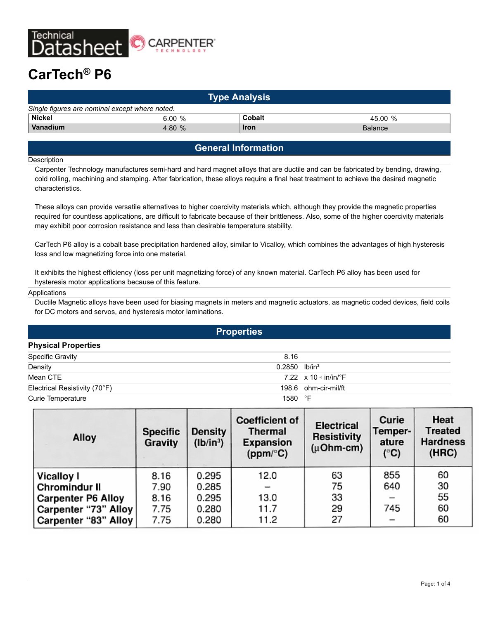

# **CarTech® P6**

| <b>Type Analysis</b>                           |          |             |                |  |  |
|------------------------------------------------|----------|-------------|----------------|--|--|
| Single figures are nominal except where noted. |          |             |                |  |  |
| <b>Nickel</b>                                  | 6.00 %   | Cobalt      | 45.00%         |  |  |
| Vanadium                                       | 4.80 $%$ | <b>Iron</b> | <b>Balance</b> |  |  |

## **General Information**

#### **Description**

Carpenter Technology manufactures semi-hard and hard magnet alloys that are ductile and can be fabricated by bending, drawing, cold rolling, machining and stamping. After fabrication, these alloys require a final heat treatment to achieve the desired magnetic characteristics.

These alloys can provide versatile alternatives to higher coercivity materials which, although they provide the magnetic properties required for countless applications, are difficult to fabricate because of their brittleness. Also, some of the higher coercivity materials may exhibit poor corrosion resistance and less than desirable temperature stability.

CarTech P6 alloy is a cobalt base precipitation hardened alloy, similar to Vicalloy, which combines the advantages of high hysteresis loss and low magnetizing force into one material.

It exhibits the highest efficiency (loss per unit magnetizing force) of any known material. CarTech P6 alloy has been used for hysteresis motor applications because of this feature.

#### Applications

Ductile Magnetic alloys have been used for biasing magnets in meters and magnetic actuators, as magnetic coded devices, field coils for DC motors and servos, and hysteresis motor laminations.

| <b>Properties</b>             |                             |                                           |  |  |  |
|-------------------------------|-----------------------------|-------------------------------------------|--|--|--|
| <b>Physical Properties</b>    |                             |                                           |  |  |  |
| <b>Specific Gravity</b>       | 8.16                        |                                           |  |  |  |
| Density                       | $0.2850$ lb/in <sup>3</sup> |                                           |  |  |  |
| Mean CTE                      |                             | 7.22 $\times$ 10 $\cdot$ in/in/ $\cdot$ F |  |  |  |
| Electrical Resistivity (70°F) |                             | 198.6 ohm-cir-mil/ft                      |  |  |  |
| Curie Temperature             | 1580 °F                     |                                           |  |  |  |

| Alloy                     | <b>Specific</b><br>Gravity | <b>Density</b><br>(Ib/in <sup>3</sup> ) | <b>Coefficient of</b><br><b>Thermal</b><br><b>Expansion</b><br>(ppm/°C) | <b>Electrical</b><br><b>Resistivity</b><br>$(\mu$ Ohm-cm) | Curie<br>Temper-<br>ature<br>$(^{\circ}C)$ | Heat<br><b>Treated</b><br><b>Hardness</b><br>(HRC) |
|---------------------------|----------------------------|-----------------------------------------|-------------------------------------------------------------------------|-----------------------------------------------------------|--------------------------------------------|----------------------------------------------------|
| <b>Vicalloy I</b>         | 8.16                       | 0.295                                   | 12.0                                                                    | 63                                                        | 855                                        | 60                                                 |
| Chromindur II             | 7.90                       | 0.285                                   |                                                                         | 75                                                        | 640                                        | 30                                                 |
| <b>Carpenter P6 Alloy</b> | 8.16                       | 0.295                                   | 13.0                                                                    | 33                                                        |                                            | 55                                                 |
| Carpenter "73" Alloy      | 7.75                       | 0.280                                   | 11.7                                                                    | 29                                                        | 745                                        | 60                                                 |
| Carpenter "83" Alloy      | 7.75                       | 0.280                                   | 11.2                                                                    | 27                                                        | -                                          | 60                                                 |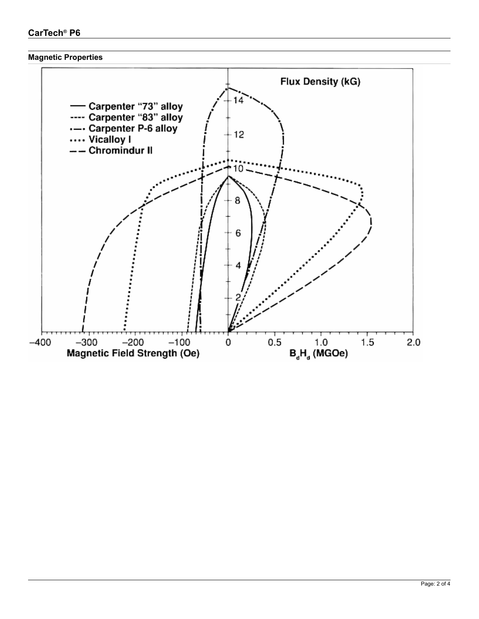# **CarTech® P6**

#### **Magnetic Properties**

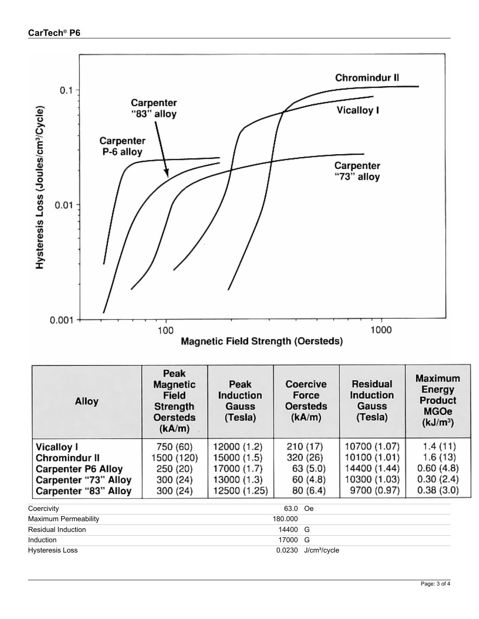

| Alloy                                                                                                                  | Peak<br><b>Magnetic</b><br><b>Field</b><br>Strength<br><b>Oersteds</b><br>(kA/m) | Peak<br><b>Induction</b><br>Gauss<br>(Tesla)                             | Coercive<br>Force<br><b>Oersteds</b><br>(kA/m)         | Residual<br>Induction<br>Gauss<br>(Tesla)                                   | <b>Maximum</b><br><b>Energy</b><br>Product<br><b>MGOe</b><br>(kJ/m <sup>3</sup> ) |
|------------------------------------------------------------------------------------------------------------------------|----------------------------------------------------------------------------------|--------------------------------------------------------------------------|--------------------------------------------------------|-----------------------------------------------------------------------------|-----------------------------------------------------------------------------------|
| <b>Vicalloy I</b><br><b>Chromindur II</b><br><b>Carpenter P6 Alloy</b><br>Carpenter "73" Alloy<br>Carpenter "83" Alloy | 750 (60)<br>1500 (120)<br>250 (20)<br>300 (24)<br>300 (24)                       | 12000 (1.2)<br>15000 (1.5)<br>17000 (1.7)<br>13000 (1.3)<br>12500 (1.25) | 210 (17)<br>320 (26)<br>63 (5.0)<br>60(4.8)<br>80(6.4) | 10700 (1.07)<br>10100 (1.01)<br>14400 (1.44)<br>10300 (1.03)<br>9700 (0.97) | 1.4(11)<br>1.6(13)<br>0.60(4.8)<br>0.30(2.4)<br>0.38(3.0)                         |
| Coercivity<br>Maximum Permeability<br><b>Residual Induction</b><br>Induction                                           |                                                                                  |                                                                          | 63.0<br>Oe<br>180.000<br>14400<br>G<br>17000<br>G      |                                                                             |                                                                                   |

Hysteresis Loss 0.0230 J/cm<sup>3</sup>/cycle